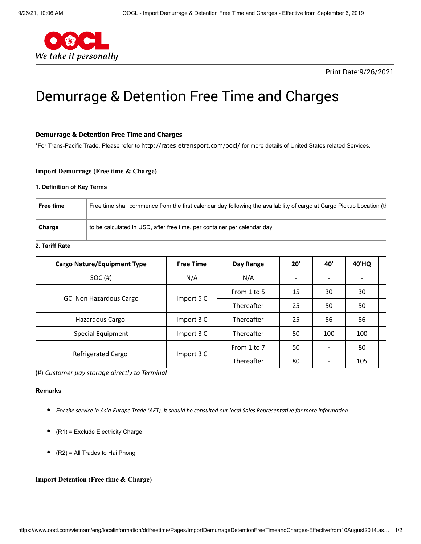

## Print Date:9/26/2021

# Demurrage & Detention Free Time and Charges

#### **Demurrage & Detention Free Time and Charges**

\*For Trans-Pacific Trade, Please refer to <http://rates.etransport.com/oocl/> for more details of United States related Services.

#### **Import Demurrage (Free time & Charge)**

#### **1. Definition of Key Terms**

| Free time | Free time shall commence from the first calendar day following the availability of cargo at Cargo Pickup Location (the |
|-----------|------------------------------------------------------------------------------------------------------------------------|
| Charge    | to be calculated in USD, after free time, per container per calendar day                                               |

## **2. Tariff Rate**

| <b>Cargo Nature/Equipment Type</b> | <b>Free Time</b> | Day Range   | 20' | 40' | 40'HQ |  |
|------------------------------------|------------------|-------------|-----|-----|-------|--|
| SOC(H)                             | N/A              | N/A         |     |     |       |  |
|                                    | Import 5 C       | From 1 to 5 | 15  | 30  | 30    |  |
| GC Non Hazardous Cargo             |                  | Thereafter  | 25  | 50  | 50    |  |
| Hazardous Cargo                    | Import 3 C       | Thereafter  | 25  | 56  | 56    |  |
| Special Equipment                  | Import 3 C       | Thereafter  | 50  | 100 | 100   |  |
|                                    | Import 3 C       | From 1 to 7 | 50  |     | 80    |  |
| <b>Refrigerated Cargo</b>          |                  | Thereafter  | 80  |     | 105   |  |

(#) *Customer pay storage directly to Terminal*

#### **Remarks**

- *For the service in Asia-Europe Trade (AET). it should be consulted our local Sales Representative for more information*
- $\bullet$ (R1) = Exclude Electricity Charge
- $(R2) = All Trades to Hai Phong$

## **Import Detention (Free time & Charge)**